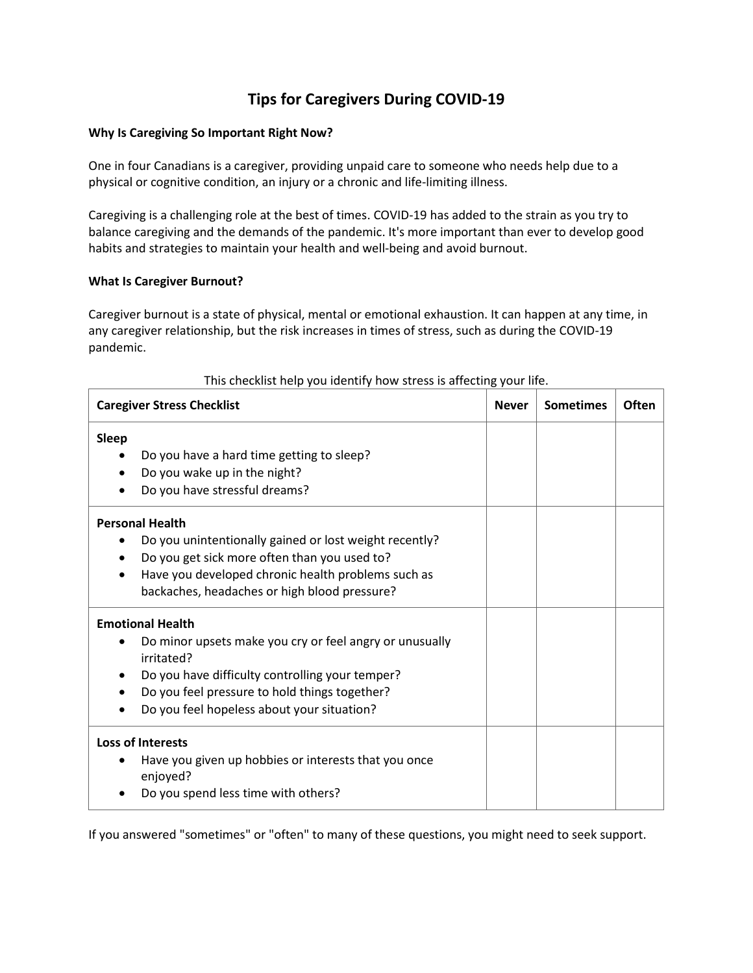# **Tips for Caregivers During COVID-19**

## **Why Is Caregiving So Important Right Now?**

One in four Canadians is a caregiver, providing unpaid care to someone who needs help due to a physical or cognitive condition, an injury or a chronic and life-limiting illness.

Caregiving is a challenging role at the best of times. COVID-19 has added to the strain as you try to balance caregiving and the demands of the pandemic. It's more important than ever to develop good habits and strategies to maintain your health and well-being and avoid burnout.

## **What Is Caregiver Burnout?**

Caregiver burnout is a state of physical, mental or emotional exhaustion. It can happen at any time, in any caregiver relationship, but the risk increases in times of stress, such as during the COVID-19 pandemic.

| <b>Caregiver Stress Checklist</b>                                                                                                                                                                                                                                             | <b>Never</b> | <b>Sometimes</b> | Often |
|-------------------------------------------------------------------------------------------------------------------------------------------------------------------------------------------------------------------------------------------------------------------------------|--------------|------------------|-------|
| <b>Sleep</b><br>Do you have a hard time getting to sleep?<br>Do you wake up in the night?<br>Do you have stressful dreams?                                                                                                                                                    |              |                  |       |
| <b>Personal Health</b><br>Do you unintentionally gained or lost weight recently?<br>$\bullet$<br>Do you get sick more often than you used to?<br>$\bullet$<br>Have you developed chronic health problems such as<br>$\bullet$<br>backaches, headaches or high blood pressure? |              |                  |       |
| <b>Emotional Health</b><br>Do minor upsets make you cry or feel angry or unusually<br>irritated?<br>Do you have difficulty controlling your temper?<br>Do you feel pressure to hold things together?<br>٠<br>Do you feel hopeless about your situation?<br>$\bullet$          |              |                  |       |
| <b>Loss of Interests</b><br>Have you given up hobbies or interests that you once<br>enjoyed?<br>Do you spend less time with others?                                                                                                                                           |              |                  |       |

## This checklist help you identify how stress is affecting your life.

If you answered "sometimes" or "often" to many of these questions, you might need to seek support.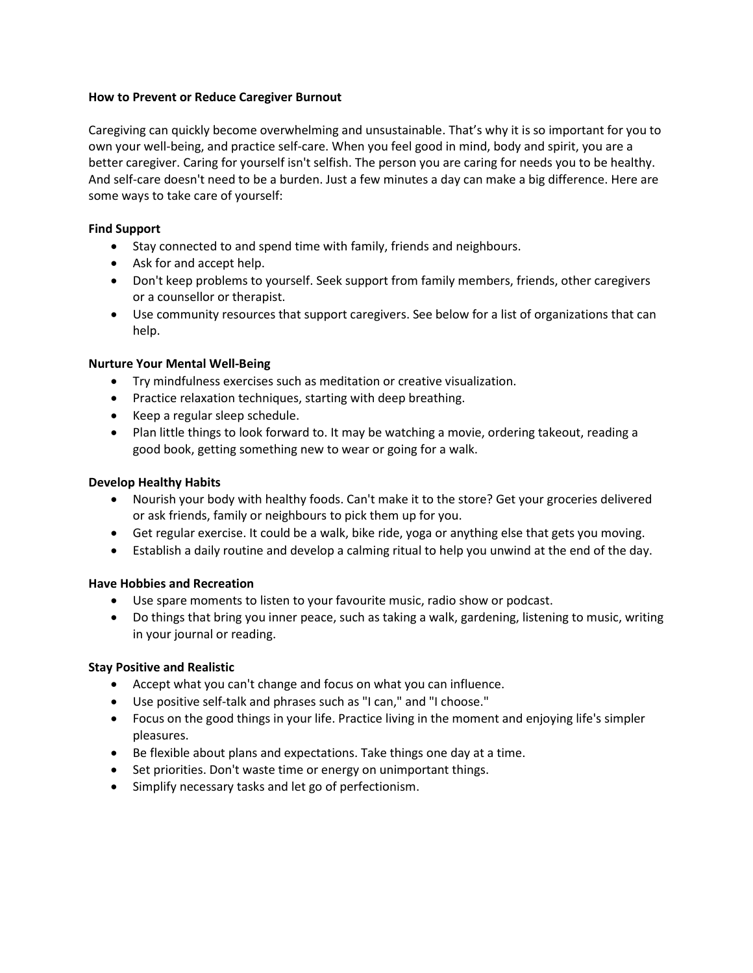## **How to Prevent or Reduce Caregiver Burnout**

Caregiving can quickly become overwhelming and unsustainable. That's why it is so important for you to own your well-being, and practice self-care. When you feel good in mind, body and spirit, you are a better caregiver. Caring for yourself isn't selfish. The person you are caring for needs you to be healthy. And self-care doesn't need to be a burden. Just a few minutes a day can make a big difference. Here are some ways to take care of yourself:

#### **Find Support**

- Stay connected to and spend time with family, friends and neighbours.
- Ask for and accept help.
- Don't keep problems to yourself. Seek support from family members, friends, other caregivers or a counsellor or therapist.
- Use community resources that support caregivers. See below for a list of organizations that can help.

#### **Nurture Your Mental Well-Being**

- Try mindfulness exercises such as meditation or creative visualization.
- Practice relaxation techniques, starting with deep breathing.
- Keep a regular sleep schedule.
- Plan little things to look forward to. It may be watching a movie, ordering takeout, reading a good book, getting something new to wear or going for a walk.

#### **Develop Healthy Habits**

- Nourish your body with healthy foods. Can't make it to the store? Get your groceries delivered or ask friends, family or neighbours to pick them up for you.
- Get regular exercise. It could be a walk, bike ride, yoga or anything else that gets you moving.
- Establish a daily routine and develop a calming ritual to help you unwind at the end of the day.

## **Have Hobbies and Recreation**

- Use spare moments to listen to your favourite music, radio show or podcast.
- Do things that bring you inner peace, such as taking a walk, gardening, listening to music, writing in your journal or reading.

## **Stay Positive and Realistic**

- Accept what you can't change and focus on what you can influence.
- Use positive self-talk and phrases such as "I can," and "I choose."
- Focus on the good things in your life. Practice living in the moment and enjoying life's simpler pleasures.
- Be flexible about plans and expectations. Take things one day at a time.
- Set priorities. Don't waste time or energy on unimportant things.
- Simplify necessary tasks and let go of perfectionism.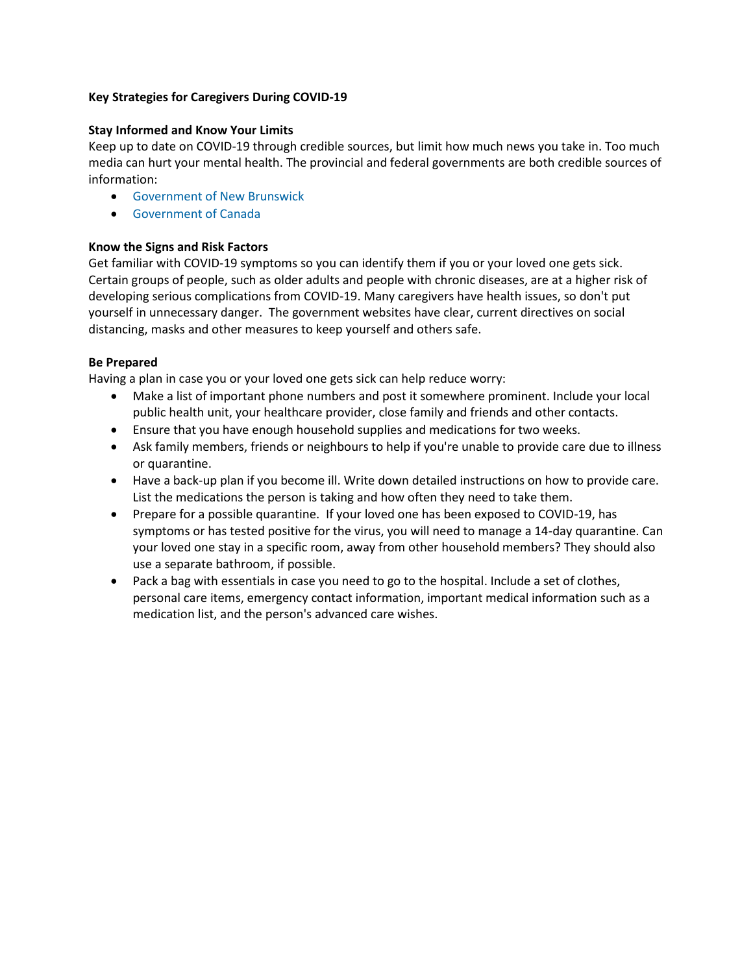# **Key Strategies for Caregivers During COVID-19**

# **Stay Informed and Know Your Limits**

Keep up to date on COVID-19 through credible sources, but limit how much news you take in. Too much media can hurt your mental health. The provincial and federal governments are both credible sources of information:

- [Government of New Brunswick](https://www2.gnb.ca/content/gnb/en/departments/ocmoh/cdc/content/respiratory_diseases/coronavirus.html)
- [Government of Canada](https://www.canada.ca/en/public-health/services/diseases/coronavirus-disease-covid-19.html)

# **Know the Signs and Risk Factors**

Get familiar with COVID-19 symptoms so you can identify them if you or your loved one gets sick. Certain groups of people, such as older adults and people with chronic diseases, are at a higher risk of developing serious complications from COVID-19. Many caregivers have health issues, so don't put yourself in unnecessary danger. The government websites have clear, current directives on social distancing, masks and other measures to keep yourself and others safe.

# **Be Prepared**

Having a plan in case you or your loved one gets sick can help reduce worry:

- Make a list of important phone numbers and post it somewhere prominent. Include your local public health unit, your healthcare provider, close family and friends and other contacts.
- Ensure that you have enough household supplies and medications for two weeks.
- Ask family members, friends or neighbours to help if you're unable to provide care due to illness or quarantine.
- Have a back-up plan if you become ill. Write down detailed instructions on how to provide care. List the medications the person is taking and how often they need to take them.
- Prepare for a possible quarantine. If your loved one has been exposed to COVID-19, has symptoms or has tested positive for the virus, you will need to manage a 14-day quarantine. Can your loved one stay in a specific room, away from other household members? They should also use a separate bathroom, if possible.
- Pack a bag with essentials in case you need to go to the hospital. Include a set of clothes, personal care items, emergency contact information, important medical information such as a medication list, and the person's advanced care wishes.